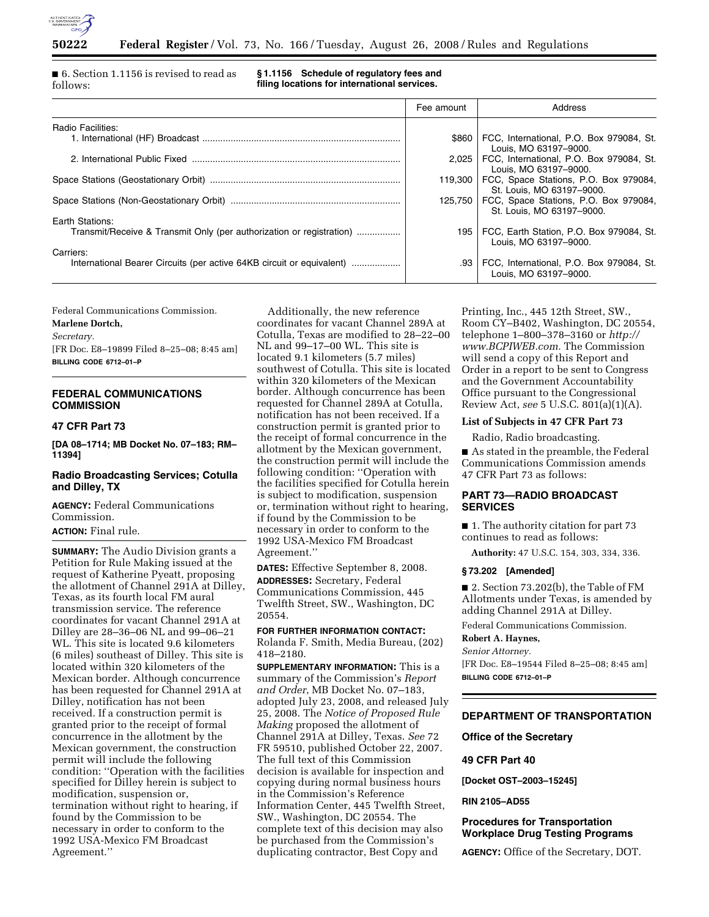

■ 6. Section 1.1156 is revised to read as follows:

**§ 1.1156 Schedule of regulatory fees and filing locations for international services.** 

|                                                                       | Fee amount | Address                                                                      |
|-----------------------------------------------------------------------|------------|------------------------------------------------------------------------------|
| Radio Facilities:                                                     |            |                                                                              |
|                                                                       |            | \$860   FCC, International, P.O. Box 979084, St.<br>Louis, MO 63197-9000.    |
|                                                                       | 2.025      | FCC, International, P.O. Box 979084, St.<br>Louis, MO 63197-9000.            |
|                                                                       |            | 119,300   FCC, Space Stations, P.O. Box 979084,<br>St. Louis, MO 63197-9000. |
|                                                                       |            | 125,750   FCC, Space Stations, P.O. Box 979084,<br>St. Louis, MO 63197-9000. |
| Earth Stations:                                                       |            |                                                                              |
| Transmit/Receive & Transmit Only (per authorization or registration)  | 195 I      | FCC, Earth Station, P.O. Box 979084, St.<br>Louis, MO 63197-9000.            |
| Carriers:                                                             |            |                                                                              |
| International Bearer Circuits (per active 64KB circuit or equivalent) | .93        | FCC, International, P.O. Box 979084, St.<br>Louis, MO 63197-9000.            |

Federal Communications Commission.

**Marlene Dortch,** 

*Secretary.* 

[FR Doc. E8–19899 Filed 8–25–08; 8:45 am] **BILLING CODE 6712–01–P** 

## **FEDERAL COMMUNICATIONS COMMISSION**

## **47 CFR Part 73**

**[DA 08–1714; MB Docket No. 07–183; RM– 11394]** 

## **Radio Broadcasting Services; Cotulla and Dilley, TX**

**AGENCY:** Federal Communications Commission.

## **ACTION:** Final rule.

**SUMMARY:** The Audio Division grants a Petition for Rule Making issued at the request of Katherine Pyeatt, proposing the allotment of Channel 291A at Dilley, Texas, as its fourth local FM aural transmission service. The reference coordinates for vacant Channel 291A at Dilley are 28–36–06 NL and 99–06–21 WL. This site is located 9.6 kilometers (6 miles) southeast of Dilley. This site is located within 320 kilometers of the Mexican border. Although concurrence has been requested for Channel 291A at Dilley, notification has not been received. If a construction permit is granted prior to the receipt of formal concurrence in the allotment by the Mexican government, the construction permit will include the following condition: ''Operation with the facilities specified for Dilley herein is subject to modification, suspension or, termination without right to hearing, if found by the Commission to be necessary in order to conform to the 1992 USA-Mexico FM Broadcast Agreement.''

Additionally, the new reference coordinates for vacant Channel 289A at Cotulla, Texas are modified to 28–22–00 NL and 99–17–00 WL. This site is located 9.1 kilometers (5.7 miles) southwest of Cotulla. This site is located within 320 kilometers of the Mexican border. Although concurrence has been requested for Channel 289A at Cotulla, notification has not been received. If a construction permit is granted prior to the receipt of formal concurrence in the allotment by the Mexican government, the construction permit will include the following condition: ''Operation with the facilities specified for Cotulla herein is subject to modification, suspension or, termination without right to hearing, if found by the Commission to be necessary in order to conform to the 1992 USA-Mexico FM Broadcast Agreement.''

**DATES:** Effective September 8, 2008. **ADDRESSES:** Secretary, Federal Communications Commission, 445 Twelfth Street, SW., Washington, DC 20554.

# **FOR FURTHER INFORMATION CONTACT:**

Rolanda F. Smith, Media Bureau, (202) 418–2180.

**SUPPLEMENTARY INFORMATION:** This is a summary of the Commission's *Report and Order*, MB Docket No. 07–183, adopted July 23, 2008, and released July 25, 2008. The *Notice of Proposed Rule Making* proposed the allotment of Channel 291A at Dilley, Texas. *See* 72 FR 59510, published October 22, 2007. The full text of this Commission decision is available for inspection and copying during normal business hours in the Commission's Reference Information Center, 445 Twelfth Street, SW., Washington, DC 20554. The complete text of this decision may also be purchased from the Commission's duplicating contractor, Best Copy and

Printing, Inc., 445 12th Street, SW., Room CY–B402, Washington, DC 20554, telephone 1–800–378–3160 or *http:// www.BCPIWEB.com.* The Commission will send a copy of this Report and Order in a report to be sent to Congress and the Government Accountability Office pursuant to the Congressional Review Act, *see* 5 U.S.C. 801(a)(1)(A).

## **List of Subjects in 47 CFR Part 73**

Radio, Radio broadcasting.

■ As stated in the preamble, the Federal Communications Commission amends 47 CFR Part 73 as follows:

### **PART 73—RADIO BROADCAST SERVICES**

■ 1. The authority citation for part 73 continues to read as follows:

**Authority:** 47 U.S.C. 154, 303, 334, 336.

#### **§ 73.202 [Amended]**

■ 2. Section 73.202(b), the Table of FM Allotments under Texas, is amended by adding Channel 291A at Dilley.

Federal Communications Commission.

### **Robert A. Haynes,**

*Senior Attorney.*  [FR Doc. E8–19544 Filed 8–25–08; 8:45 am] **BILLING CODE 6712–01–P** 

## **DEPARTMENT OF TRANSPORTATION**

**Office of the Secretary** 

#### **49 CFR Part 40**

**[Docket OST–2003–15245]** 

#### **RIN 2105–AD55**

## **Procedures for Transportation Workplace Drug Testing Programs**

**AGENCY:** Office of the Secretary, DOT.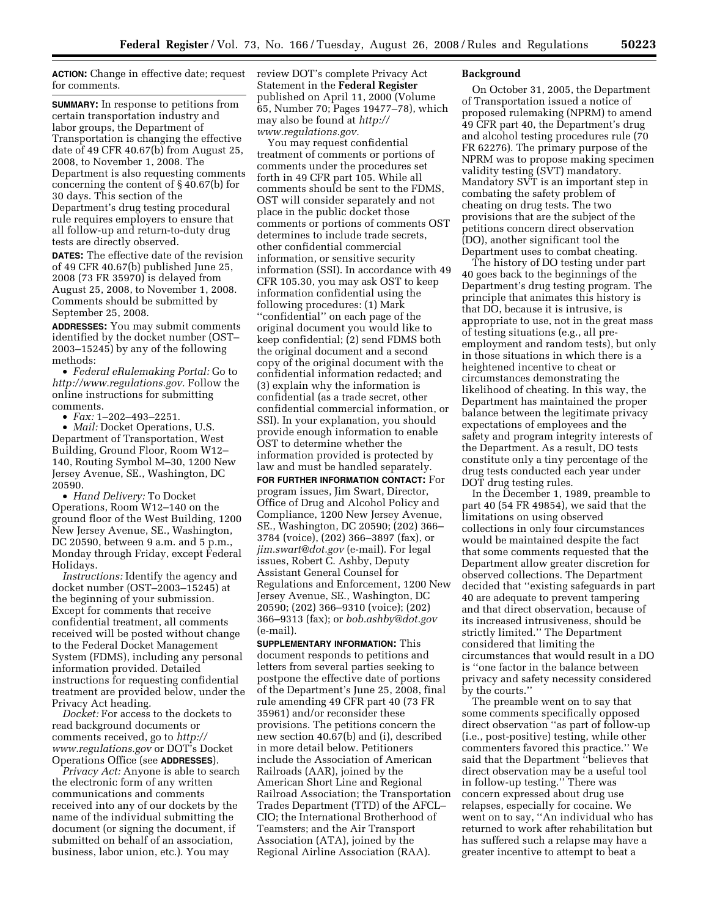**ACTION:** Change in effective date; request for comments.

**SUMMARY:** In response to petitions from certain transportation industry and labor groups, the Department of Transportation is changing the effective date of 49 CFR 40.67(b) from August 25, 2008, to November 1, 2008. The Department is also requesting comments concerning the content of § 40.67(b) for 30 days. This section of the Department's drug testing procedural rule requires employers to ensure that all follow-up and return-to-duty drug tests are directly observed.

**DATES:** The effective date of the revision of 49 CFR 40.67(b) published June 25, 2008 (73 FR 35970) is delayed from August 25, 2008, to November 1, 2008. Comments should be submitted by September 25, 2008.

**ADDRESSES:** You may submit comments identified by the docket number (OST– 2003–15245) by any of the following methods:

• *Federal eRulemaking Portal:* Go to *http://www.regulations.gov.* Follow the online instructions for submitting comments.

• *Fax:* 1–202–493–2251.

• *Mail:* Docket Operations, U.S. Department of Transportation, West Building, Ground Floor, Room W12– 140, Routing Symbol M–30, 1200 New Jersey Avenue, SE., Washington, DC 20590.

• *Hand Delivery:* To Docket Operations, Room W12–140 on the ground floor of the West Building, 1200 New Jersey Avenue, SE., Washington, DC 20590, between 9 a.m. and 5 p.m., Monday through Friday, except Federal Holidays.

*Instructions:* Identify the agency and docket number (OST–2003–15245) at the beginning of your submission. Except for comments that receive confidential treatment, all comments received will be posted without change to the Federal Docket Management System (FDMS), including any personal information provided. Detailed instructions for requesting confidential treatment are provided below, under the Privacy Act heading.

*Docket:* For access to the dockets to read background documents or comments received, go to *http:// www.regulations.gov* or DOT's Docket Operations Office (see **ADDRESSES**).

*Privacy Act:* Anyone is able to search the electronic form of any written communications and comments received into any of our dockets by the name of the individual submitting the document (or signing the document, if submitted on behalf of an association, business, labor union, etc.). You may

review DOT's complete Privacy Act Statement in the **Federal Register**  published on April 11, 2000 (Volume 65, Number 70; Pages 19477–78), which may also be found at *http:// www.regulations.gov.* 

You may request confidential treatment of comments or portions of comments under the procedures set forth in 49 CFR part 105. While all comments should be sent to the FDMS, OST will consider separately and not place in the public docket those comments or portions of comments OST determines to include trade secrets, other confidential commercial information, or sensitive security information (SSI). In accordance with 49 CFR 105.30, you may ask OST to keep information confidential using the following procedures: (1) Mark ''confidential'' on each page of the original document you would like to keep confidential; (2) send FDMS both the original document and a second copy of the original document with the confidential information redacted; and (3) explain why the information is confidential (as a trade secret, other confidential commercial information, or SSI). In your explanation, you should provide enough information to enable OST to determine whether the information provided is protected by law and must be handled separately. **FOR FURTHER INFORMATION CONTACT:** For

program issues, Jim Swart, Director, Office of Drug and Alcohol Policy and Compliance, 1200 New Jersey Avenue, SE., Washington, DC 20590; (202) 366– 3784 (voice), (202) 366–3897 (fax), or *jim.swart@dot.gov* (e-mail). For legal issues, Robert C. Ashby, Deputy Assistant General Counsel for Regulations and Enforcement, 1200 New Jersey Avenue, SE., Washington, DC 20590; (202) 366–9310 (voice); (202) 366–9313 (fax); or *bob.ashby@dot.gov*  (e-mail).

**SUPPLEMENTARY INFORMATION:** This document responds to petitions and letters from several parties seeking to postpone the effective date of portions of the Department's June 25, 2008, final rule amending 49 CFR part 40 (73 FR 35961) and/or reconsider these provisions. The petitions concern the new section 40.67(b) and (i), described in more detail below. Petitioners include the Association of American Railroads (AAR), joined by the American Short Line and Regional Railroad Association; the Transportation Trades Department (TTD) of the AFCL– CIO; the International Brotherhood of Teamsters; and the Air Transport Association (ATA), joined by the Regional Airline Association (RAA).

### **Background**

On October 31, 2005, the Department of Transportation issued a notice of proposed rulemaking (NPRM) to amend 49 CFR part 40, the Department's drug and alcohol testing procedures rule (70 FR 62276). The primary purpose of the NPRM was to propose making specimen validity testing (SVT) mandatory. Mandatory SVT is an important step in combating the safety problem of cheating on drug tests. The two provisions that are the subject of the petitions concern direct observation (DO), another significant tool the Department uses to combat cheating.

The history of DO testing under part 40 goes back to the beginnings of the Department's drug testing program. The principle that animates this history is that DO, because it is intrusive, is appropriate to use, not in the great mass of testing situations (e.g., all preemployment and random tests), but only in those situations in which there is a heightened incentive to cheat or circumstances demonstrating the likelihood of cheating. In this way, the Department has maintained the proper balance between the legitimate privacy expectations of employees and the safety and program integrity interests of the Department. As a result, DO tests constitute only a tiny percentage of the drug tests conducted each year under DOT drug testing rules.

In the December 1, 1989, preamble to part 40 (54 FR 49854), we said that the limitations on using observed collections in only four circumstances would be maintained despite the fact that some comments requested that the Department allow greater discretion for observed collections. The Department decided that ''existing safeguards in part 40 are adequate to prevent tampering and that direct observation, because of its increased intrusiveness, should be strictly limited.'' The Department considered that limiting the circumstances that would result in a DO is ''one factor in the balance between privacy and safety necessity considered by the courts.''

The preamble went on to say that some comments specifically opposed direct observation ''as part of follow-up (i.e., post-positive) testing, while other commenters favored this practice.'' We said that the Department ''believes that direct observation may be a useful tool in follow-up testing.'' There was concern expressed about drug use relapses, especially for cocaine. We went on to say, ''An individual who has returned to work after rehabilitation but has suffered such a relapse may have a greater incentive to attempt to beat a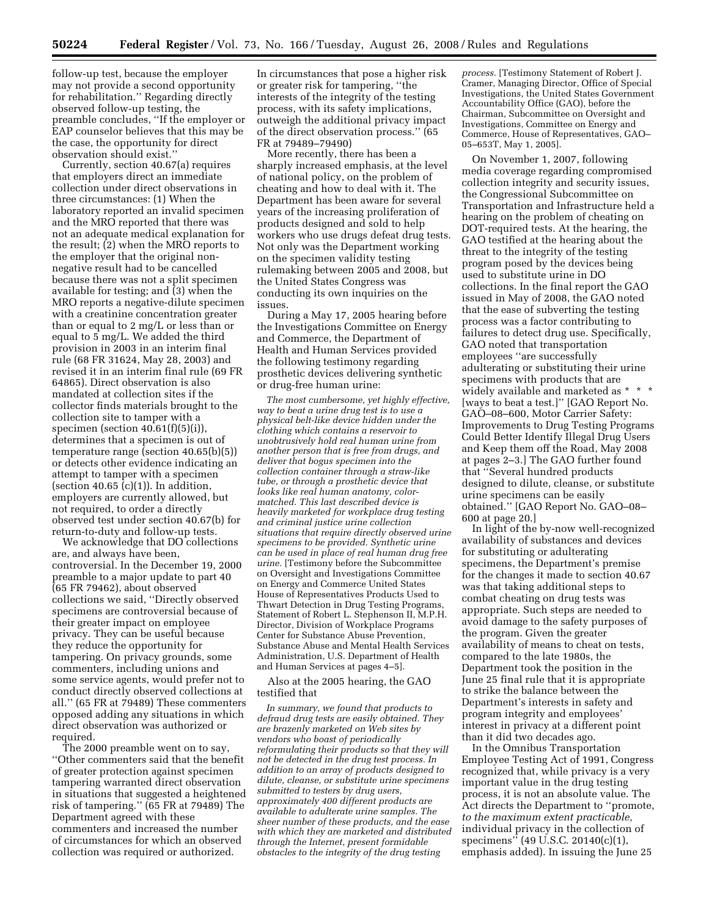follow-up test, because the employer may not provide a second opportunity for rehabilitation.'' Regarding directly observed follow-up testing, the preamble concludes, ''If the employer or EAP counselor believes that this may be the case, the opportunity for direct observation should exist.''

Currently, section 40.67(a) requires that employers direct an immediate collection under direct observations in three circumstances: (1) When the laboratory reported an invalid specimen and the MRO reported that there was not an adequate medical explanation for the result; (2) when the MRO reports to the employer that the original nonnegative result had to be cancelled because there was not a split specimen available for testing; and (3) when the MRO reports a negative-dilute specimen with a creatinine concentration greater than or equal to 2 mg/L or less than or equal to 5 mg/L. We added the third provision in 2003 in an interim final rule (68 FR 31624, May 28, 2003) and revised it in an interim final rule (69 FR 64865). Direct observation is also mandated at collection sites if the collector finds materials brought to the collection site to tamper with a specimen (section 40.61(f)(5)(i)), determines that a specimen is out of temperature range (section 40.65(b)(5)) or detects other evidence indicating an attempt to tamper with a specimen (section  $40.65$  (c)(1)). In addition, employers are currently allowed, but not required, to order a directly observed test under section 40.67(b) for return-to-duty and follow-up tests.

We acknowledge that DO collections are, and always have been, controversial. In the December 19, 2000 preamble to a major update to part 40 (65 FR 79462), about observed collections we said, ''Directly observed specimens are controversial because of their greater impact on employee privacy. They can be useful because they reduce the opportunity for tampering. On privacy grounds, some commenters, including unions and some service agents, would prefer not to conduct directly observed collections at all.'' (65 FR at 79489) These commenters opposed adding any situations in which direct observation was authorized or required.

The 2000 preamble went on to say, ''Other commenters said that the benefit of greater protection against specimen tampering warranted direct observation in situations that suggested a heightened risk of tampering.'' (65 FR at 79489) The Department agreed with these commenters and increased the number of circumstances for which an observed collection was required or authorized.

In circumstances that pose a higher risk or greater risk for tampering, ''the interests of the integrity of the testing process, with its safety implications, outweigh the additional privacy impact of the direct observation process.'' (65 FR at 79489–79490)

More recently, there has been a sharply increased emphasis, at the level of national policy, on the problem of cheating and how to deal with it. The Department has been aware for several years of the increasing proliferation of products designed and sold to help workers who use drugs defeat drug tests. Not only was the Department working on the specimen validity testing rulemaking between 2005 and 2008, but the United States Congress was conducting its own inquiries on the issues.

During a May 17, 2005 hearing before the Investigations Committee on Energy and Commerce, the Department of Health and Human Services provided the following testimony regarding prosthetic devices delivering synthetic or drug-free human urine:

*The most cumbersome, yet highly effective, way to beat a urine drug test is to use a physical belt-like device hidden under the clothing which contains a reservoir to unobtrusively hold real human urine from another person that is free from drugs, and deliver that bogus specimen into the collection container through a straw-like tube, or through a prosthetic device that looks like real human anatomy, colormatched. This last described device is heavily marketed for workplace drug testing and criminal justice urine collection situations that require directly observed urine specimens to be provided. Synthetic urine can be used in place of real human drug free urine.* [Testimony before the Subcommittee on Oversight and Investigations Committee on Energy and Commerce United States House of Representatives Products Used to Thwart Detection in Drug Testing Programs, Statement of Robert L. Stephenson II, M.P.H. Director, Division of Workplace Programs Center for Substance Abuse Prevention, Substance Abuse and Mental Health Services Administration, U.S. Department of Health and Human Services at pages 4–5].

Also at the 2005 hearing, the GAO testified that

*In summary, we found that products to defraud drug tests are easily obtained. They are brazenly marketed on Web sites by vendors who boast of periodically reformulating their products so that they will not be detected in the drug test process. In addition to an array of products designed to dilute, cleanse, or substitute urine specimens submitted to testers by drug users, approximately 400 different products are available to adulterate urine samples. The sheer number of these products, and the ease with which they are marketed and distributed through the Internet, present formidable obstacles to the integrity of the drug testing* 

*process.* [Testimony Statement of Robert J. Cramer, Managing Director, Office of Special Investigations, the United States Government Accountability Office (GAO), before the Chairman, Subcommittee on Oversight and Investigations, Committee on Energy and Commerce, House of Representatives, GAO– 05–653T, May 1, 2005].

On November 1, 2007, following media coverage regarding compromised collection integrity and security issues, the Congressional Subcommittee on Transportation and Infrastructure held a hearing on the problem of cheating on DOT-required tests. At the hearing, the GAO testified at the hearing about the threat to the integrity of the testing program posed by the devices being used to substitute urine in DO collections. In the final report the GAO issued in May of 2008, the GAO noted that the ease of subverting the testing process was a factor contributing to failures to detect drug use. Specifically, GAO noted that transportation employees ''are successfully adulterating or substituting their urine specimens with products that are widely available and marketed as \* \* \* [ways to beat a test.]'' [GAO Report No. GAO–08–600, Motor Carrier Safety: Improvements to Drug Testing Programs Could Better Identify Illegal Drug Users and Keep them off the Road, May 2008 at pages 2–3.] The GAO further found that ''Several hundred products designed to dilute, cleanse, or substitute urine specimens can be easily obtained.'' [GAO Report No. GAO–08– 600 at page 20.]

In light of the by-now well-recognized availability of substances and devices for substituting or adulterating specimens, the Department's premise for the changes it made to section 40.67 was that taking additional steps to combat cheating on drug tests was appropriate. Such steps are needed to avoid damage to the safety purposes of the program. Given the greater availability of means to cheat on tests, compared to the late 1980s, the Department took the position in the June 25 final rule that it is appropriate to strike the balance between the Department's interests in safety and program integrity and employees' interest in privacy at a different point than it did two decades ago.

In the Omnibus Transportation Employee Testing Act of 1991, Congress recognized that, while privacy is a very important value in the drug testing process, it is not an absolute value. The Act directs the Department to ''promote, *to the maximum extent practicable,*  individual privacy in the collection of specimens'' (49 U.S.C. 20140(c)(1), emphasis added). In issuing the June 25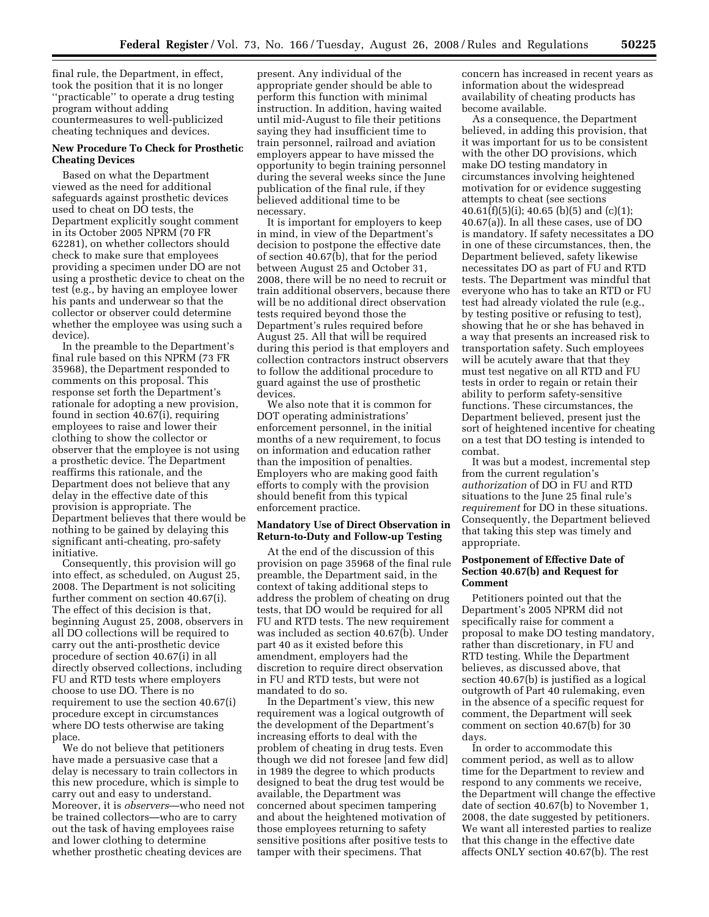final rule, the Department, in effect, took the position that it is no longer ''practicable'' to operate a drug testing program without adding countermeasures to well-publicized cheating techniques and devices.

#### **New Procedure To Check for Prosthetic Cheating Devices**

Based on what the Department viewed as the need for additional safeguards against prosthetic devices used to cheat on DO tests, the Department explicitly sought comment in its October 2005 NPRM (70 FR 62281), on whether collectors should check to make sure that employees providing a specimen under DO are not using a prosthetic device to cheat on the test (e.g., by having an employee lower his pants and underwear so that the collector or observer could determine whether the employee was using such a device).

In the preamble to the Department's final rule based on this NPRM (73 FR 35968), the Department responded to comments on this proposal. This response set forth the Department's rationale for adopting a new provision, found in section 40.67(i), requiring employees to raise and lower their clothing to show the collector or observer that the employee is not using a prosthetic device. The Department reaffirms this rationale, and the Department does not believe that any delay in the effective date of this provision is appropriate. The Department believes that there would be nothing to be gained by delaying this significant anti-cheating, pro-safety initiative.

Consequently, this provision will go into effect, as scheduled, on August 25, 2008. The Department is not soliciting further comment on section 40.67(i). The effect of this decision is that, beginning August 25, 2008, observers in all DO collections will be required to carry out the anti-prosthetic device procedure of section 40.67(i) in all directly observed collections, including FU and RTD tests where employers choose to use DO. There is no requirement to use the section 40.67(i) procedure except in circumstances where DO tests otherwise are taking place.

We do not believe that petitioners have made a persuasive case that a delay is necessary to train collectors in this new procedure, which is simple to carry out and easy to understand. Moreover, it is *observers*—who need not be trained collectors—who are to carry out the task of having employees raise and lower clothing to determine whether prosthetic cheating devices are

present. Any individual of the appropriate gender should be able to perform this function with minimal instruction. In addition, having waited until mid-August to file their petitions saying they had insufficient time to train personnel, railroad and aviation employers appear to have missed the opportunity to begin training personnel during the several weeks since the June publication of the final rule, if they believed additional time to be necessary.

It is important for employers to keep in mind, in view of the Department's decision to postpone the effective date of section 40.67(b), that for the period between August 25 and October 31, 2008, there will be no need to recruit or train additional observers, because there will be no additional direct observation tests required beyond those the Department's rules required before August 25. All that will be required during this period is that employers and collection contractors instruct observers to follow the additional procedure to guard against the use of prosthetic devices.

We also note that it is common for DOT operating administrations' enforcement personnel, in the initial months of a new requirement, to focus on information and education rather than the imposition of penalties. Employers who are making good faith efforts to comply with the provision should benefit from this typical enforcement practice.

#### **Mandatory Use of Direct Observation in Return-to-Duty and Follow-up Testing**

At the end of the discussion of this provision on page 35968 of the final rule preamble, the Department said, in the context of taking additional steps to address the problem of cheating on drug tests, that DO would be required for all FU and RTD tests. The new requirement was included as section 40.67(b). Under part 40 as it existed before this amendment, employers had the discretion to require direct observation in FU and RTD tests, but were not mandated to do so.

In the Department's view, this new requirement was a logical outgrowth of the development of the Department's increasing efforts to deal with the problem of cheating in drug tests. Even though we did not foresee [and few did] in 1989 the degree to which products designed to beat the drug test would be available, the Department was concerned about specimen tampering and about the heightened motivation of those employees returning to safety sensitive positions after positive tests to tamper with their specimens. That

concern has increased in recent years as information about the widespread availability of cheating products has become available.

As a consequence, the Department believed, in adding this provision, that it was important for us to be consistent with the other DO provisions, which make DO testing mandatory in circumstances involving heightened motivation for or evidence suggesting attempts to cheat (see sections  $40.61(f)(5)(i); 40.65 (b)(5)$  and  $(c)(1);$ 40.67(a)). In all these cases, use of DO is mandatory. If safety necessitates a DO in one of these circumstances, then, the Department believed, safety likewise necessitates DO as part of FU and RTD tests. The Department was mindful that everyone who has to take an RTD or FU test had already violated the rule (e.g., by testing positive or refusing to test), showing that he or she has behaved in a way that presents an increased risk to transportation safety. Such employees will be acutely aware that that they must test negative on all RTD and FU tests in order to regain or retain their ability to perform safety-sensitive functions. These circumstances, the Department believed, present just the sort of heightened incentive for cheating on a test that DO testing is intended to combat.

It was but a modest, incremental step from the current regulation's *authorization* of DO in FU and RTD situations to the June 25 final rule's *requirement* for DO in these situations. Consequently, the Department believed that taking this step was timely and appropriate.

### **Postponement of Effective Date of Section 40.67(b) and Request for Comment**

Petitioners pointed out that the Department's 2005 NPRM did not specifically raise for comment a proposal to make DO testing mandatory, rather than discretionary, in FU and RTD testing. While the Department believes, as discussed above, that section 40.67(b) is justified as a logical outgrowth of Part 40 rulemaking, even in the absence of a specific request for comment, the Department will seek comment on section 40.67(b) for 30 days.

In order to accommodate this comment period, as well as to allow time for the Department to review and respond to any comments we receive, the Department will change the effective date of section 40.67(b) to November 1, 2008, the date suggested by petitioners. We want all interested parties to realize that this change in the effective date affects ONLY section 40.67(b). The rest